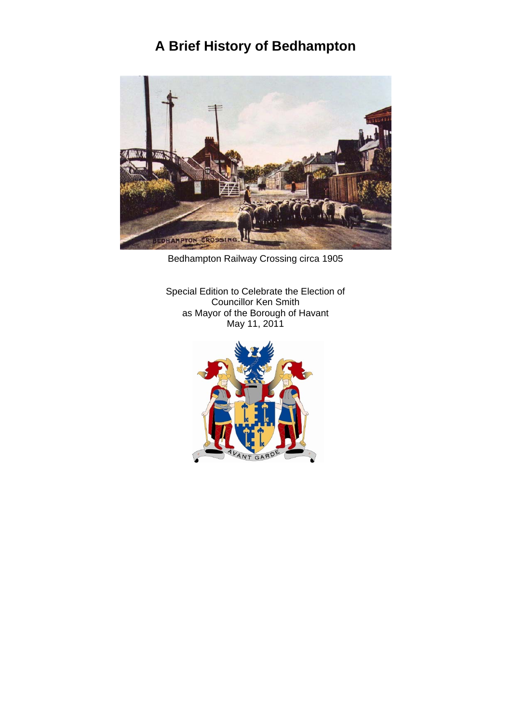# **A Brief History of Bedhampton**



Bedhampton Railway Crossing circa 1905

Special Edition to Celebrate the Election of Councillor Ken Smith as Mayor of the Borough of Havant May 11, 2011

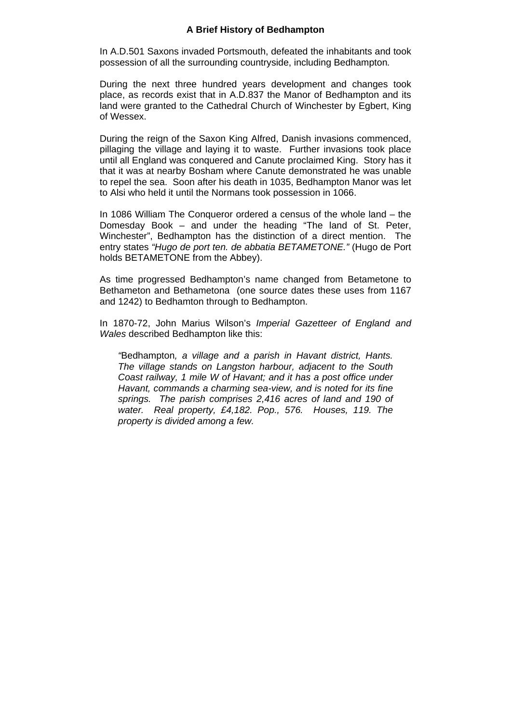### **A Brief History of Bedhampton**

In A.D.501 Saxons invaded Portsmouth, defeated the inhabitants and took possession of all the surrounding countryside, including Bedhampton*.* 

During the next three hundred years development and changes took place, as records exist that in A.D.837 the Manor of Bedhampton and its land were granted to the Cathedral Church of Winchester by Egbert, King of Wessex.

During the reign of the Saxon King Alfred, Danish invasions commenced, pillaging the village and laying it to waste. Further invasions took place until all England was conquered and Canute proclaimed King. Story has it that it was at nearby Bosham where Canute demonstrated he was unable to repel the sea. Soon after his death in 1035, Bedhampton Manor was let to Alsi who held it until the Normans took possession in 1066.

In 1086 William The Conqueror ordered a census of the whole land – the Domesday Book – and under the heading "The land of St. Peter, Winchester", Bedhampton has the distinction of a direct mention. The entry states *"Hugo de port ten. de abbatia BETAMETONE."* (Hugo de Port holds BETAMETONE from the Abbey).

As time progressed Bedhampton's name changed from Betametone to Bethameton and Bethametona (one source dates these uses from 1167 and 1242) to Bedhamton through to Bedhampton.

In 1870-72, John Marius Wilson's *Imperial Gazetteer of England and Wales* described Bedhampton like this:

*"*Bedhampton*, a village and a parish in Havant district, Hants. The village stands on Langston harbour, adjacent to the South Coast railway, 1 mile W of Havant; and it has a post office under Havant, commands a charming sea-view, and is noted for its fine springs. The parish comprises 2,416 acres of land and 190 of water. Real property, £4,182. Pop., 576. Houses, 119. The property is divided among a few.*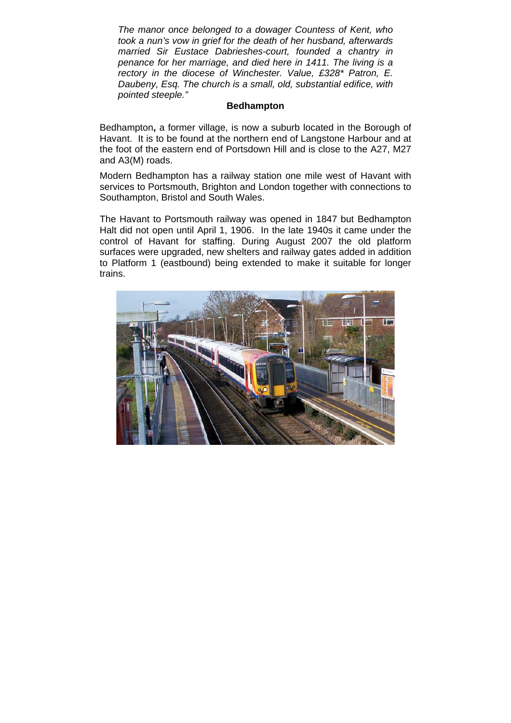*The manor once belonged to a dowager Countess of Kent, who took a nun's vow in grief for the death of her husband, afterwards married Sir Eustace Dabrieshes-court, founded a chantry in penance for her marriage, and died here in 1411. The living is a rectory in the diocese of Winchester. Value, £328\* Patron, E. Daubeny, Esq. The church is a small, old, substantial edifice, with pointed steeple."* 

#### **Bedhampton**

Bedhampton**,** a former village, is now a suburb located in the Borough of Havant. It is to be found at the northern end of Langstone Harbour and at the foot of the eastern end of Portsdown Hill and is close to the A27, M27 and A3(M) roads.

Modern Bedhampton has a railway station one mile west of Havant with services to Portsmouth, Brighton and London together with connections to Southampton, Bristol and South Wales.

The Havant to Portsmouth railway was opened in 1847 but Bedhampton Halt did not open until April 1, 1906. In the late 1940s it came under the control of Havant for staffing. During August 2007 the old platform surfaces were upgraded, new shelters and railway gates added in addition to Platform 1 (eastbound) being extended to make it suitable for longer trains.

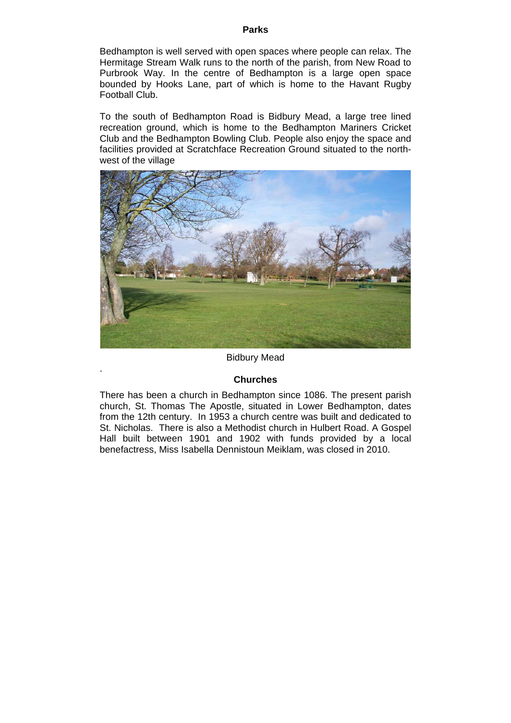#### **Parks**

Bedhampton is well served with open spaces where people can relax. The Hermitage Stream Walk runs to the north of the parish, from New Road to Purbrook Way. In the centre of Bedhampton is a large open space bounded by Hooks Lane, part of which is home to the Havant Rugby Football Club.

To the south of Bedhampton Road is Bidbury Mead, a large tree lined recreation ground, which is home to the Bedhampton Mariners Cricket Club and the Bedhampton Bowling Club. People also enjoy the space and facilities provided at Scratchface Recreation Ground situated to the northwest of the village



### Bidbury Mead

#### **Churches**

.

There has been a church in Bedhampton since 1086. The present parish church, St. Thomas The Apostle, situated in Lower Bedhampton, dates from the 12th century. In 1953 a church centre was built and dedicated to St. Nicholas. There is also a Methodist church in Hulbert Road. A Gospel Hall built between 1901 and 1902 with funds provided by a local benefactress, Miss Isabella Dennistoun Meiklam, was closed in 2010.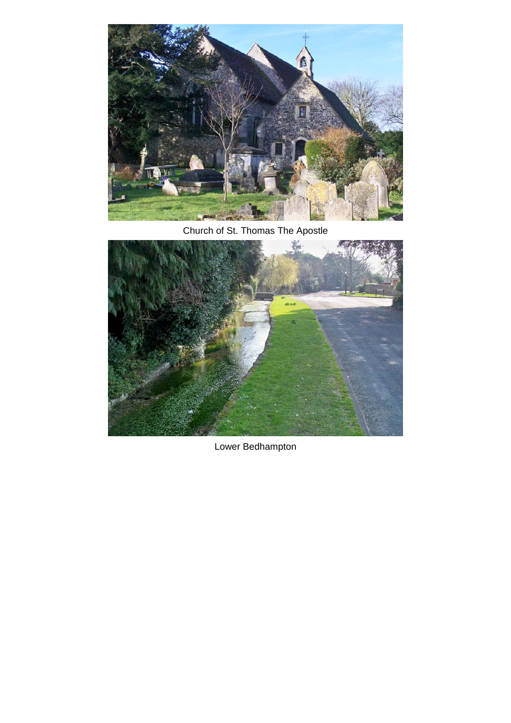

Church of St. Thomas The Apostle



Lower Bedhampton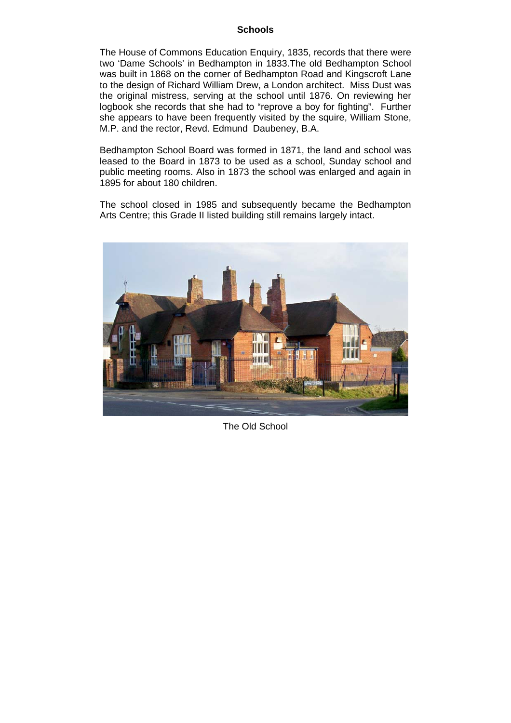### **Schools**

The House of Commons Education Enquiry, 1835, records that there were two 'Dame Schools' in Bedhampton in 1833.The old Bedhampton School was built in 1868 on the corner of Bedhampton Road and Kingscroft Lane to the design of Richard William Drew, a London architect. Miss Dust was the original mistress, serving at the school until 1876. On reviewing her logbook she records that she had to "reprove a boy for fighting". Further she appears to have been frequently visited by the squire, William Stone, M.P. and the rector, Revd. Edmund Daubeney, B.A.

Bedhampton School Board was formed in 1871, the land and school was leased to the Board in 1873 to be used as a school, Sunday school and public meeting rooms. Also in 1873 the school was enlarged and again in 1895 for about 180 children.

The school closed in 1985 and subsequently became the Bedhampton Arts Centre; this Grade II listed building still remains largely intact.



The Old School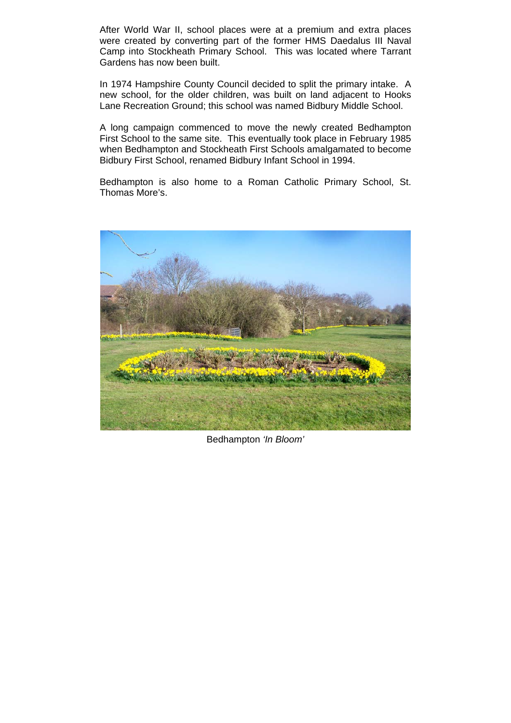After World War II, school places were at a premium and extra places were created by converting part of the former HMS Daedalus III Naval Camp into Stockheath Primary School. This was located where Tarrant Gardens has now been built.

In 1974 Hampshire County Council decided to split the primary intake. A new school, for the older children, was built on land adjacent to Hooks Lane Recreation Ground; this school was named Bidbury Middle School.

A long campaign commenced to move the newly created Bedhampton First School to the same site. This eventually took place in February 1985 when Bedhampton and Stockheath First Schools amalgamated to become Bidbury First School, renamed Bidbury Infant School in 1994.

Bedhampton is also home to a Roman Catholic Primary School, St. Thomas More's.



Bedhampton *'In Bloom'*